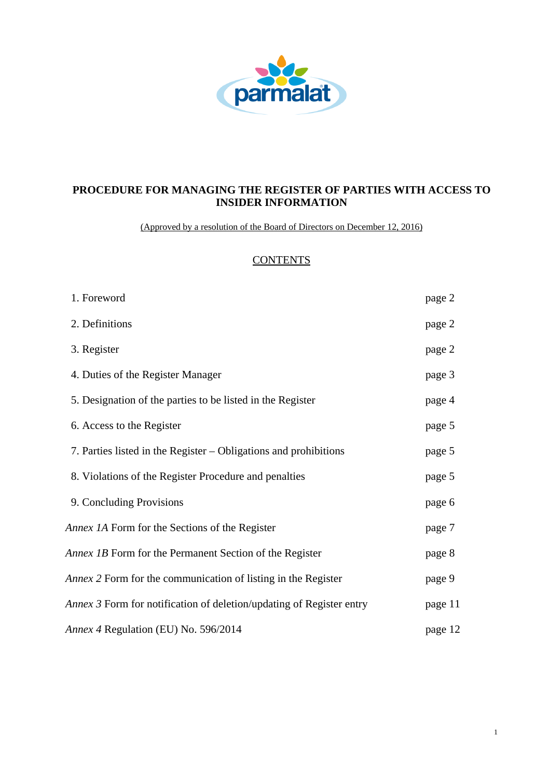

# **PROCEDURE FOR MANAGING THE REGISTER OF PARTIES WITH ACCESS TO INSIDER INFORMATION**

(Approved by a resolution of the Board of Directors on December 12, 2016)

# **CONTENTS**

| 1. Foreword                                                                 | page 2  |
|-----------------------------------------------------------------------------|---------|
| 2. Definitions                                                              | page 2  |
| 3. Register                                                                 | page 2  |
| 4. Duties of the Register Manager                                           | page 3  |
| 5. Designation of the parties to be listed in the Register                  | page 4  |
| 6. Access to the Register                                                   | page 5  |
| 7. Parties listed in the Register – Obligations and prohibitions            | page 5  |
| 8. Violations of the Register Procedure and penalties                       | page 5  |
| 9. Concluding Provisions                                                    | page 6  |
| Annex 1A Form for the Sections of the Register                              | page 7  |
| Annex 1B Form for the Permanent Section of the Register                     | page 8  |
| <i>Annex 2</i> Form for the communication of listing in the Register        | page 9  |
| <i>Annex 3</i> Form for notification of deletion/updating of Register entry | page 11 |
| Annex 4 Regulation (EU) No. 596/2014                                        | page 12 |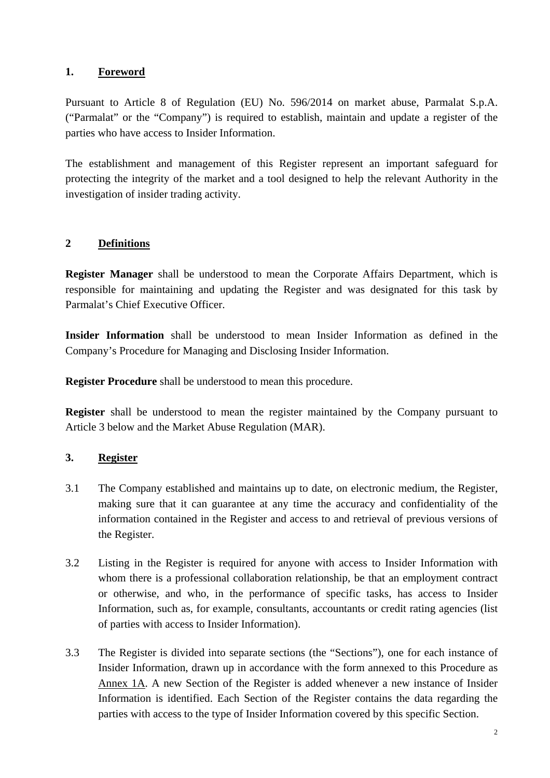## **1. Foreword**

Pursuant to Article 8 of Regulation (EU) No. 596/2014 on market abuse, Parmalat S.p.A. ("Parmalat" or the "Company") is required to establish, maintain and update a register of the parties who have access to Insider Information.

The establishment and management of this Register represent an important safeguard for protecting the integrity of the market and a tool designed to help the relevant Authority in the investigation of insider trading activity.

# **2 Definitions**

**Register Manager** shall be understood to mean the Corporate Affairs Department, which is responsible for maintaining and updating the Register and was designated for this task by Parmalat's Chief Executive Officer.

**Insider Information** shall be understood to mean Insider Information as defined in the Company's Procedure for Managing and Disclosing Insider Information.

**Register Procedure** shall be understood to mean this procedure.

**Register** shall be understood to mean the register maintained by the Company pursuant to Article 3 below and the Market Abuse Regulation (MAR).

# **3. Register**

- 3.1 The Company established and maintains up to date, on electronic medium, the Register, making sure that it can guarantee at any time the accuracy and confidentiality of the information contained in the Register and access to and retrieval of previous versions of the Register.
- 3.2 Listing in the Register is required for anyone with access to Insider Information with whom there is a professional collaboration relationship, be that an employment contract or otherwise, and who, in the performance of specific tasks, has access to Insider Information, such as, for example, consultants, accountants or credit rating agencies (list of parties with access to Insider Information).
- 3.3 The Register is divided into separate sections (the "Sections"), one for each instance of Insider Information, drawn up in accordance with the form annexed to this Procedure as Annex 1A. A new Section of the Register is added whenever a new instance of Insider Information is identified. Each Section of the Register contains the data regarding the parties with access to the type of Insider Information covered by this specific Section.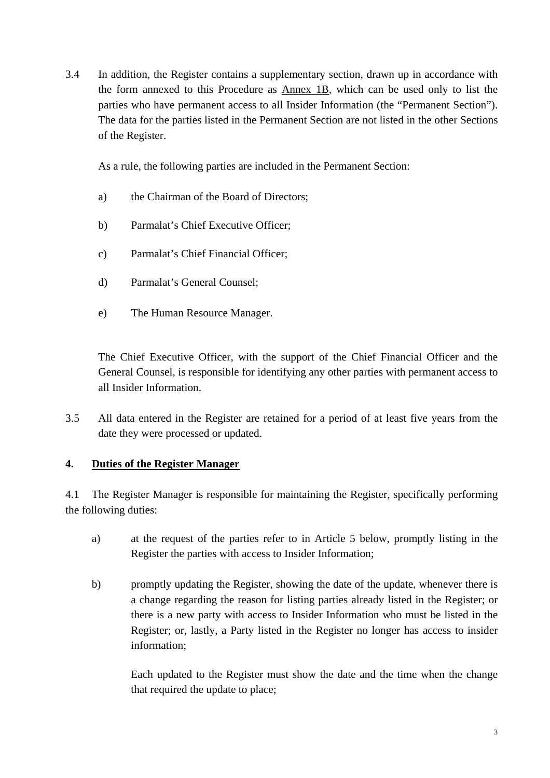3.4 In addition, the Register contains a supplementary section, drawn up in accordance with the form annexed to this Procedure as Annex 1B, which can be used only to list the parties who have permanent access to all Insider Information (the "Permanent Section"). The data for the parties listed in the Permanent Section are not listed in the other Sections of the Register.

As a rule, the following parties are included in the Permanent Section:

- a) the Chairman of the Board of Directors;
- b) Parmalat's Chief Executive Officer;
- c) Parmalat's Chief Financial Officer;
- d) Parmalat's General Counsel;
- e) The Human Resource Manager.

The Chief Executive Officer, with the support of the Chief Financial Officer and the General Counsel, is responsible for identifying any other parties with permanent access to all Insider Information.

3.5 All data entered in the Register are retained for a period of at least five years from the date they were processed or updated.

# **4. Duties of the Register Manager**

4.1 The Register Manager is responsible for maintaining the Register, specifically performing the following duties:

- a) at the request of the parties refer to in Article 5 below, promptly listing in the Register the parties with access to Insider Information;
- b) promptly updating the Register, showing the date of the update, whenever there is a change regarding the reason for listing parties already listed in the Register; or there is a new party with access to Insider Information who must be listed in the Register; or, lastly, a Party listed in the Register no longer has access to insider information;

Each updated to the Register must show the date and the time when the change that required the update to place;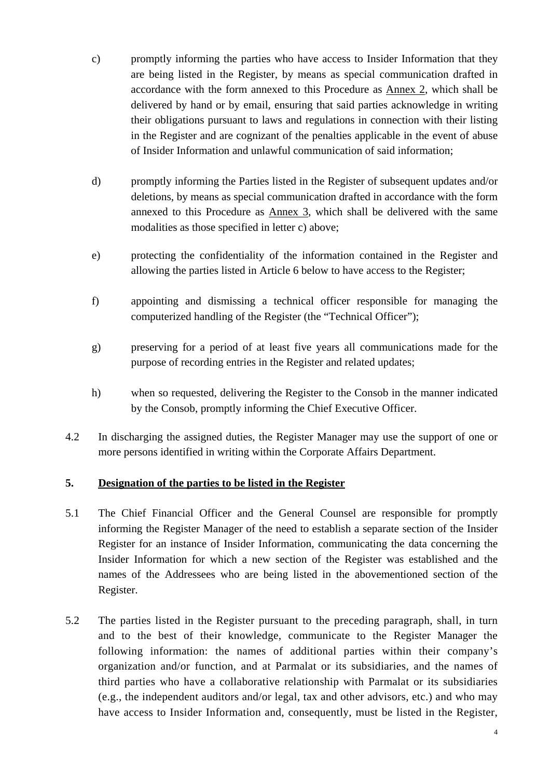- c) promptly informing the parties who have access to Insider Information that they are being listed in the Register, by means as special communication drafted in accordance with the form annexed to this Procedure as Annex 2, which shall be delivered by hand or by email, ensuring that said parties acknowledge in writing their obligations pursuant to laws and regulations in connection with their listing in the Register and are cognizant of the penalties applicable in the event of abuse of Insider Information and unlawful communication of said information;
- d) promptly informing the Parties listed in the Register of subsequent updates and/or deletions, by means as special communication drafted in accordance with the form annexed to this Procedure as Annex 3, which shall be delivered with the same modalities as those specified in letter c) above;
- e) protecting the confidentiality of the information contained in the Register and allowing the parties listed in Article 6 below to have access to the Register;
- f) appointing and dismissing a technical officer responsible for managing the computerized handling of the Register (the "Technical Officer");
- g) preserving for a period of at least five years all communications made for the purpose of recording entries in the Register and related updates;
- h) when so requested, delivering the Register to the Consob in the manner indicated by the Consob, promptly informing the Chief Executive Officer.
- 4.2 In discharging the assigned duties, the Register Manager may use the support of one or more persons identified in writing within the Corporate Affairs Department.

# **5. Designation of the parties to be listed in the Register**

- 5.1 The Chief Financial Officer and the General Counsel are responsible for promptly informing the Register Manager of the need to establish a separate section of the Insider Register for an instance of Insider Information, communicating the data concerning the Insider Information for which a new section of the Register was established and the names of the Addressees who are being listed in the abovementioned section of the Register.
- 5.2 The parties listed in the Register pursuant to the preceding paragraph, shall, in turn and to the best of their knowledge, communicate to the Register Manager the following information: the names of additional parties within their company's organization and/or function, and at Parmalat or its subsidiaries, and the names of third parties who have a collaborative relationship with Parmalat or its subsidiaries (e.g., the independent auditors and/or legal, tax and other advisors, etc.) and who may have access to Insider Information and, consequently, must be listed in the Register,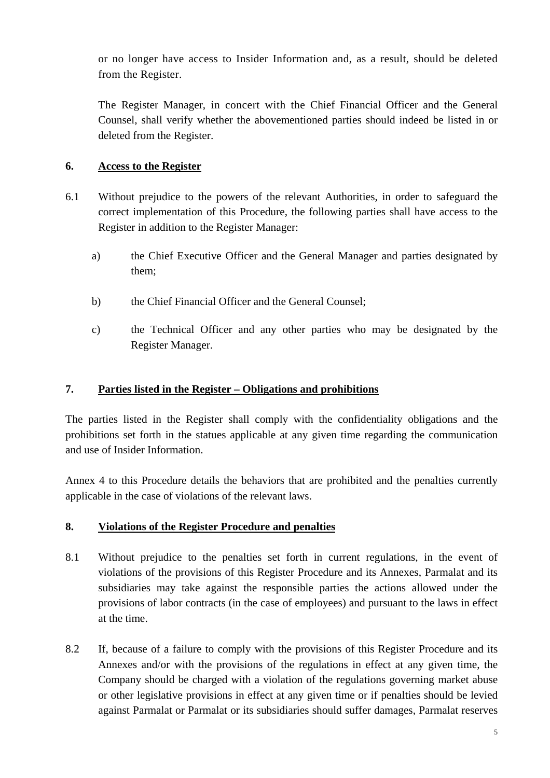or no longer have access to Insider Information and, as a result, should be deleted from the Register.

The Register Manager, in concert with the Chief Financial Officer and the General Counsel, shall verify whether the abovementioned parties should indeed be listed in or deleted from the Register.

# **6. Access to the Register**

- 6.1 Without prejudice to the powers of the relevant Authorities, in order to safeguard the correct implementation of this Procedure, the following parties shall have access to the Register in addition to the Register Manager:
	- a) the Chief Executive Officer and the General Manager and parties designated by them;
	- b) the Chief Financial Officer and the General Counsel;
	- c) the Technical Officer and any other parties who may be designated by the Register Manager.

# **7. Parties listed in the Register – Obligations and prohibitions**

The parties listed in the Register shall comply with the confidentiality obligations and the prohibitions set forth in the statues applicable at any given time regarding the communication and use of Insider Information.

Annex 4 to this Procedure details the behaviors that are prohibited and the penalties currently applicable in the case of violations of the relevant laws.

## **8. Violations of the Register Procedure and penalties**

- 8.1 Without prejudice to the penalties set forth in current regulations, in the event of violations of the provisions of this Register Procedure and its Annexes, Parmalat and its subsidiaries may take against the responsible parties the actions allowed under the provisions of labor contracts (in the case of employees) and pursuant to the laws in effect at the time.
- 8.2 If, because of a failure to comply with the provisions of this Register Procedure and its Annexes and/or with the provisions of the regulations in effect at any given time, the Company should be charged with a violation of the regulations governing market abuse or other legislative provisions in effect at any given time or if penalties should be levied against Parmalat or Parmalat or its subsidiaries should suffer damages, Parmalat reserves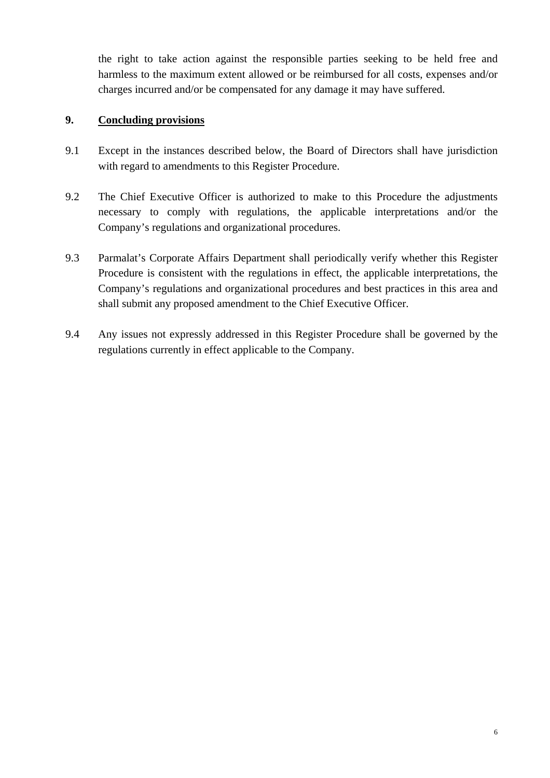the right to take action against the responsible parties seeking to be held free and harmless to the maximum extent allowed or be reimbursed for all costs, expenses and/or charges incurred and/or be compensated for any damage it may have suffered.

## **9. Concluding provisions**

- 9.1 Except in the instances described below, the Board of Directors shall have jurisdiction with regard to amendments to this Register Procedure.
- 9.2 The Chief Executive Officer is authorized to make to this Procedure the adjustments necessary to comply with regulations, the applicable interpretations and/or the Company's regulations and organizational procedures.
- 9.3 Parmalat's Corporate Affairs Department shall periodically verify whether this Register Procedure is consistent with the regulations in effect, the applicable interpretations, the Company's regulations and organizational procedures and best practices in this area and shall submit any proposed amendment to the Chief Executive Officer.
- 9.4 Any issues not expressly addressed in this Register Procedure shall be governed by the regulations currently in effect applicable to the Company.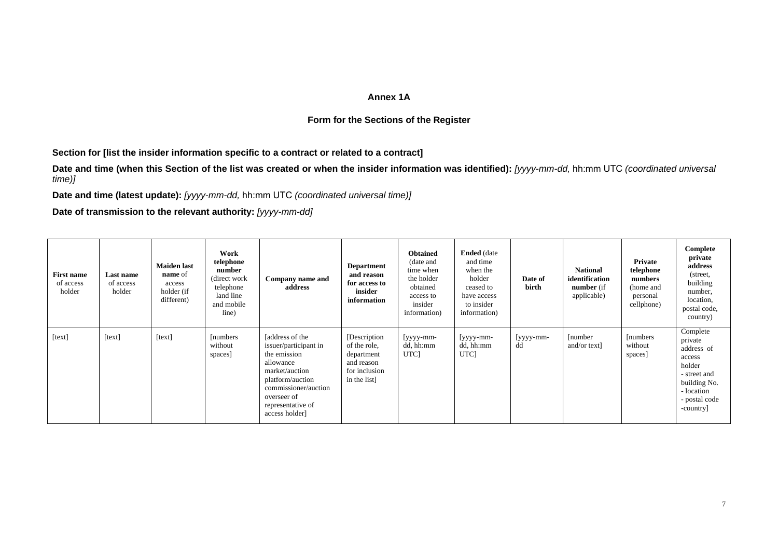### **Annex 1A**

## **Form for the Sections of the Register**

**Section for [list the insider information specific to a contract or related to a contract]** 

Date and time (when this Section of the list was created or when the insider information was identified): [yyyy-mm-dd, hh:mm UTC *(coordinated universal time)]* 

**Date and time (latest update):** *[yyyy-mm-dd,* hh:mm UTC *(coordinated universal time)]* 

**Date of transmission to the relevant authority:** *[yyyy-mm-dd]* 

| <b>First name</b><br>of access<br>holder | Last name<br>of access<br>holder | <b>Maiden</b> last<br><b>name</b> of<br>access<br>holder (if<br>different) | Work<br>telephone<br>number<br>(direct work)<br>telephone<br>land line<br>and mobile<br>line) | Company name and<br>address                                                                                                                                                               | <b>Department</b><br>and reason<br>for access to<br>insider<br>information                 | <b>Obtained</b><br>(date and<br>time when<br>the holder<br>obtained<br>access to<br>insider<br>information) | <b>Ended</b> (date<br>and time<br>when the<br>holder<br>ceased to<br>have access<br>to insider<br>information) | Date of<br>birth | <b>National</b><br>identification<br><b>number</b> (if<br>applicable) | Private<br>telephone<br>numbers<br>(home and<br>personal<br>cellphone) | Complete<br>private<br>address<br>(street,<br>building<br>number,<br>location,<br>postal code,<br>country)                        |
|------------------------------------------|----------------------------------|----------------------------------------------------------------------------|-----------------------------------------------------------------------------------------------|-------------------------------------------------------------------------------------------------------------------------------------------------------------------------------------------|--------------------------------------------------------------------------------------------|-------------------------------------------------------------------------------------------------------------|----------------------------------------------------------------------------------------------------------------|------------------|-----------------------------------------------------------------------|------------------------------------------------------------------------|-----------------------------------------------------------------------------------------------------------------------------------|
| [text]                                   | [text]                           | [text]                                                                     | <i>s</i> [numbers]<br>without<br>spaces]                                                      | [address of the<br>issuer/participant in<br>the emission<br>allowance<br>market/auction<br>platform/auction<br>commissioner/auction<br>overseer of<br>representative of<br>access holder] | [Description]<br>of the role,<br>department<br>and reason<br>for inclusion<br>in the list] | [yyyy-mm-<br>dd, hh:mm<br>UTC <sub>1</sub>                                                                  | [yyyy-mm-<br>dd, hh:mm<br>UTC <sub>l</sub>                                                                     | [yyyy-mm-<br>dd  | [number]<br>and/or text]                                              | [numbers]<br>without<br>spaces]                                        | Complete<br>private<br>address of<br>access<br>holder<br>- street and<br>building No.<br>- location<br>- postal code<br>-country] |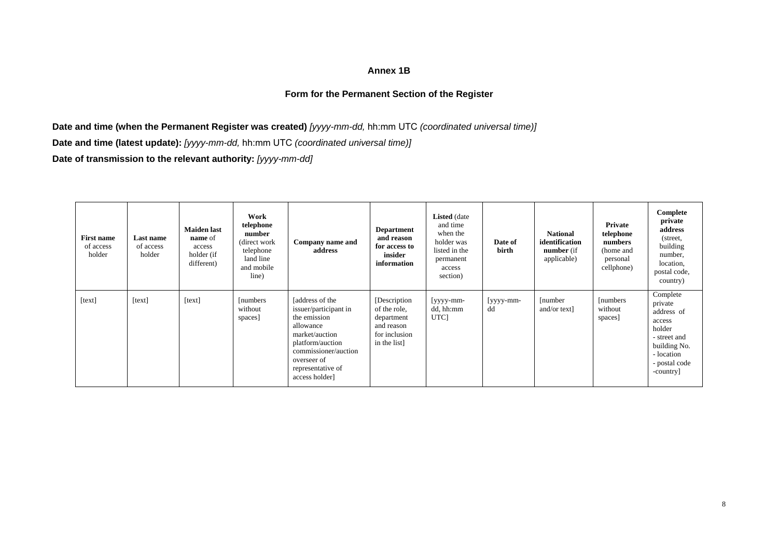### **Annex 1B**

## **Form for the Permanent Section of the Register**

**Date and time (when the Permanent Register was created)** *[yyyy-mm-dd,* hh:mm UTC *(coordinated universal time)]*  **Date and time (latest update):** *[yyyy-mm-dd,* hh:mm UTC *(coordinated universal time)]*  **Date of transmission to the relevant authority:** *[yyyy-mm-dd]* 

| <b>First name</b><br>of access<br>holder | Last name<br>of access<br>holder | <b>Maiden</b> last<br><b>name</b> of<br>access<br>holder (if<br>different) | Work<br>telephone<br>number<br>(direct work)<br>telephone<br>land line<br>and mobile<br>line) | Company name and<br>address                                                                                                                                                               | <b>Department</b><br>and reason<br>for access to<br>insider<br>information                 | <b>Listed</b> (date<br>and time<br>when the<br>holder was<br>listed in the<br>permanent<br>access<br>section) | Date of<br>birth | <b>National</b><br>identification<br>number (if<br>applicable) | Private<br>telephone<br>numbers<br>(home and<br>personal<br>cellphone) | Complete<br>private<br>address<br>(street,<br>building<br>number,<br>location,<br>postal code,<br>country)                        |
|------------------------------------------|----------------------------------|----------------------------------------------------------------------------|-----------------------------------------------------------------------------------------------|-------------------------------------------------------------------------------------------------------------------------------------------------------------------------------------------|--------------------------------------------------------------------------------------------|---------------------------------------------------------------------------------------------------------------|------------------|----------------------------------------------------------------|------------------------------------------------------------------------|-----------------------------------------------------------------------------------------------------------------------------------|
| [text]                                   | [text]                           | [text]                                                                     | [numbers]<br>without<br>spaces]                                                               | [address of the<br>issuer/participant in<br>the emission<br>allowance<br>market/auction<br>platform/auction<br>commissioner/auction<br>overseer of<br>representative of<br>access holder] | [Description]<br>of the role,<br>department<br>and reason<br>for inclusion<br>in the list] | [yyyy-mm-<br>dd, hh:mm<br>UTC <sub>l</sub>                                                                    | [yyyy-mm-<br>dd  | [number]<br>and/or text]                                       | [numbers]<br>without<br>spaces]                                        | Complete<br>private<br>address of<br>access<br>holder<br>- street and<br>building No.<br>- location<br>- postal code<br>-country] |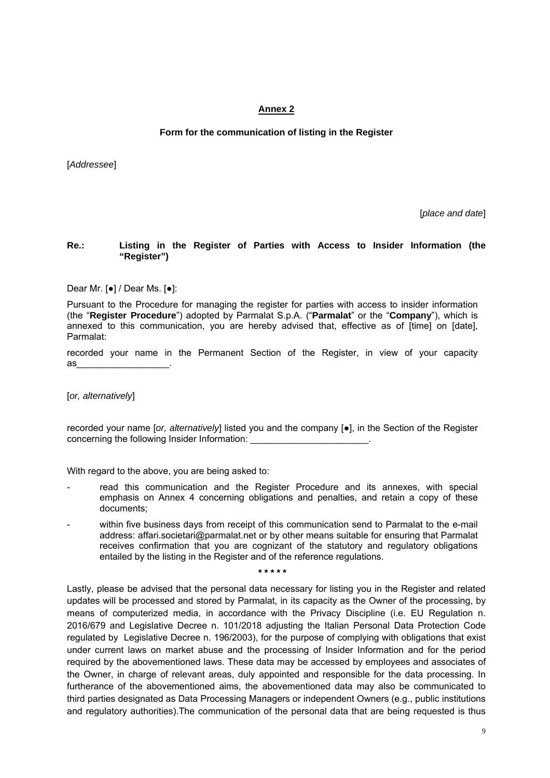## **Annex 2**

## **Form for the communication of listing in the Register**

[*Addressee*]

[*place and date*]

## **Re.: Listing in the Register of Parties with Access to Insider Information (the "Register")**

Dear Mr. [●] / Dear Ms. [●]:

Pursuant to the Procedure for managing the register for parties with access to insider information (the "**Register Procedure**") adopted by Parmalat S.p.A. ("**Parmalat**" or the "**Company**"), which is annexed to this communication, you are hereby advised that, effective as of [time] on [date], Parmalat:

recorded your name in the Permanent Section of the Register, in view of your capacity as\_\_\_\_\_\_\_\_\_\_\_\_\_\_\_\_\_\_.

[*or, alternatively*]

recorded your name [*or, alternatively*] listed you and the company [●], in the Section of the Register concerning the following Insider Information:

With regard to the above, you are being asked to:

- read this communication and the Register Procedure and its annexes, with special emphasis on Annex 4 concerning obligations and penalties, and retain a copy of these documents;
- within five business days from receipt of this communication send to Parmalat to the e-mail address: affari.societari@parmalat.net or by other means suitable for ensuring that Parmalat receives confirmation that you are cognizant of the statutory and regulatory obligations entailed by the listing in the Register and of the reference regulations.

**\* \* \* \* \*** 

Lastly, please be advised that the personal data necessary for listing you in the Register and related updates will be processed and stored by Parmalat, in its capacity as the Owner of the processing, by means of computerized media, in accordance with the Privacy Discipline (i.e. EU Regulation n. 2016/679 and Legislative Decree n. 101/2018 adjusting the Italian Personal Data Protection Code regulated by Legislative Decree n. 196/2003), for the purpose of complying with obligations that exist under current laws on market abuse and the processing of Insider Information and for the period required by the abovementioned laws. These data may be accessed by employees and associates of the Owner, in charge of relevant areas, duly appointed and responsible for the data processing. In furtherance of the abovementioned aims, the abovementioned data may also be communicated to third parties designated as Data Processing Managers or independent Owners (e.g., public institutions and regulatory authorities).The communication of the personal data that are being requested is thus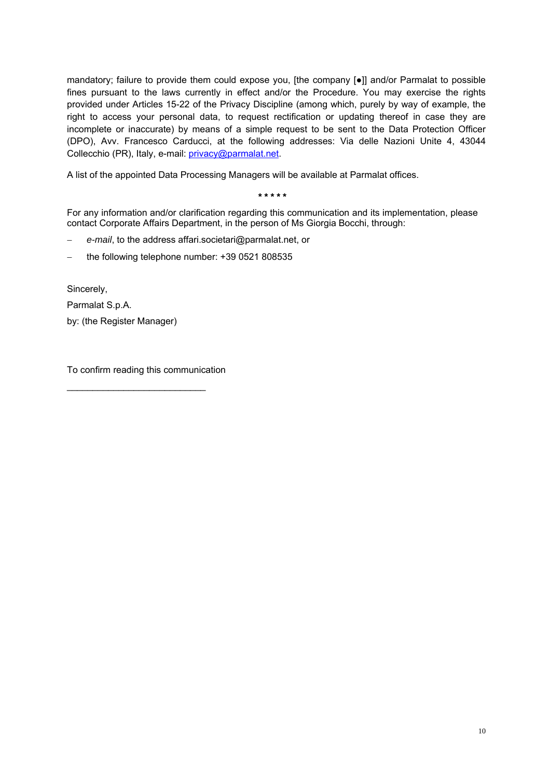mandatory; failure to provide them could expose you, [the company [●]] and/or Parmalat to possible fines pursuant to the laws currently in effect and/or the Procedure. You may exercise the rights provided under Articles 15-22 of the Privacy Discipline (among which, purely by way of example, the right to access your personal data, to request rectification or updating thereof in case they are incomplete or inaccurate) by means of a simple request to be sent to the Data Protection Officer (DPO), Avv. Francesco Carducci, at the following addresses: Via delle Nazioni Unite 4, 43044 Collecchio (PR), Italy, e-mail: privacy@parmalat.net.

A list of the appointed Data Processing Managers will be available at Parmalat offices.

### **\* \* \* \* \***

For any information and/or clarification regarding this communication and its implementation, please contact Corporate Affairs Department, in the person of Ms Giorgia Bocchi, through:

- *e-mail*, to the address affari.societari@parmalat.net, or
- the following telephone number: +39 0521 808535

Sincerely,

Parmalat S.p.A.

by: (the Register Manager)

To confirm reading this communication

\_\_\_\_\_\_\_\_\_\_\_\_\_\_\_\_\_\_\_\_\_\_\_\_\_\_\_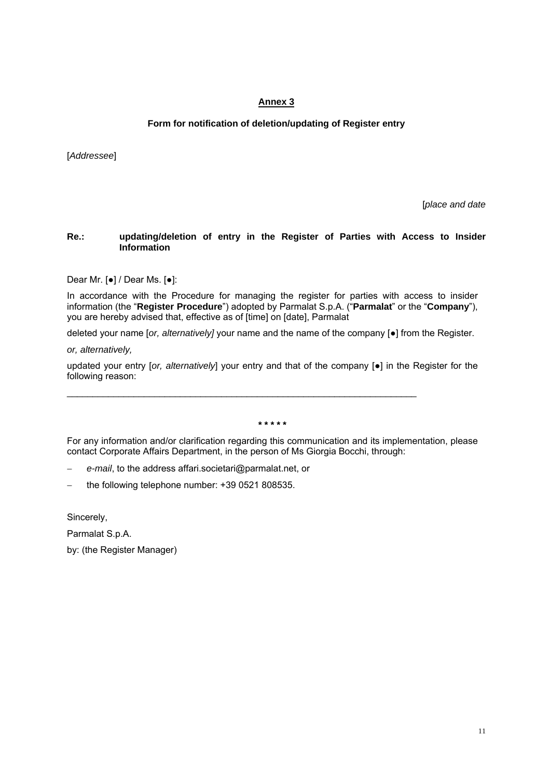## **Annex 3**

## **Form for notification of deletion/updating of Register entry**

[*Addressee*]

[*place and date*

## **Re.: updating/deletion of entry in the Register of Parties with Access to Insider Information**

Dear Mr. [●] / Dear Ms. [●]:

In accordance with the Procedure for managing the register for parties with access to insider information (the "**Register Procedure**") adopted by Parmalat S.p.A. ("**Parmalat**" or the "**Company**"), you are hereby advised that, effective as of [time] on [date], Parmalat

deleted your name [*or, alternatively]* your name and the name of the company [●] from the Register.

*or, alternatively,* 

updated your entry [or, alternatively] your entry and that of the company [•] in the Register for the following reason:

 $\_$  ,  $\_$  ,  $\_$  ,  $\_$  ,  $\_$  ,  $\_$  ,  $\_$  ,  $\_$  ,  $\_$  ,  $\_$  ,  $\_$  ,  $\_$  ,  $\_$  ,  $\_$  ,  $\_$  ,  $\_$  ,  $\_$  ,  $\_$  ,  $\_$  ,  $\_$ 

**\* \* \* \* \*** 

For any information and/or clarification regarding this communication and its implementation, please contact Corporate Affairs Department, in the person of Ms Giorgia Bocchi, through:

*e-mail*, to the address affari.societari@parmalat.net, or

the following telephone number: +39 0521 808535.

Sincerely,

Parmalat S.p.A.

by: (the Register Manager)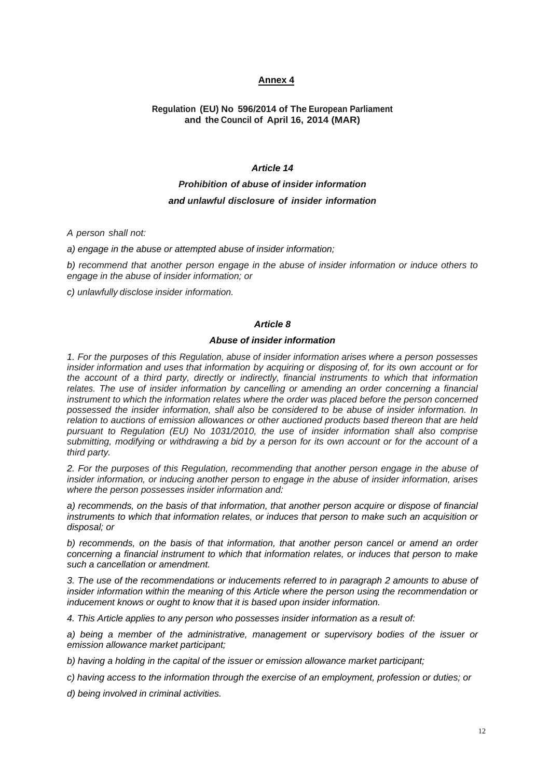## **Annex 4**

## **Regulation (EU) No 596/2014 of The European Parliament and the Council of April 16, 2014 (MAR)**

## *Article 14*

# *Prohibition of abuse of insider information and unlawful disclosure of insider information*

*A person shall not:*

*a) engage in the abuse or attempted abuse of insider information;* 

*b) recommend that another person engage in the abuse of insider information or induce others to engage in the abuse of insider information; or* 

*c) unlawfully disclose insider information.*

#### *Article 8*

## *Abuse of insider information*

*1. For the purposes of this Regulation, abuse of insider information arises where a person possesses insider information and uses that information by acquiring or disposing of, for its own account or for the account of a third party, directly or indirectly, financial instruments to which that information relates. The use of insider information by cancelling or amending an order concerning a financial instrument to which the information relates where the order was placed before the person concerned possessed the insider information, shall also be considered to be abuse of insider information. In relation to auctions of emission allowances or other auctioned products based thereon that are held pursuant to Regulation (EU) No 1031/2010, the use of insider information shall also comprise submitting, modifying or withdrawing a bid by a person for its own account or for the account of a third party.*

*2. For the purposes of this Regulation, recommending that another person engage in the abuse of insider information, or inducing another person to engage in the abuse of insider information, arises where the person possesses insider information and:* 

*a) recommends, on the basis of that information, that another person acquire or dispose of financial instruments to which that information relates, or induces that person to make such an acquisition or disposal; or* 

*b) recommends, on the basis of that information, that another person cancel or amend an order concerning a financial instrument to which that information relates, or induces that person to make such a cancellation or amendment.* 

*3. The use of the recommendations or inducements referred to in paragraph 2 amounts to abuse of insider information within the meaning of this Article where the person using the recommendation or inducement knows or ought to know that it is based upon insider information.* 

*4. This Article applies to any person who possesses insider information as a result of:* 

*a) being a member of the administrative, management or supervisory bodies of the issuer or emission allowance market participant;* 

*b) having a holding in the capital of the issuer or emission allowance market participant;* 

*c) having access to the information through the exercise of an employment, profession or duties; or* 

*d) being involved in criminal activities.*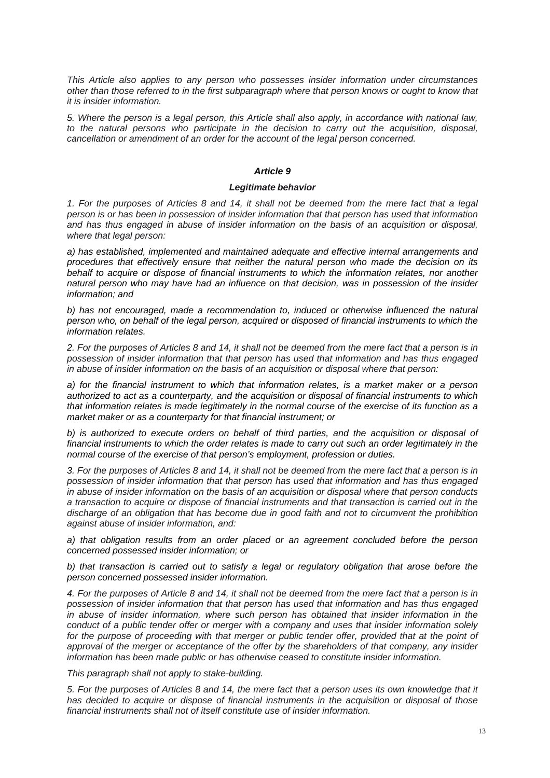*This Article also applies to any person who possesses insider information under circumstances other than those referred to in the first subparagraph where that person knows or ought to know that it is insider information.*

*5. Where the person is a legal person, this Article shall also apply, in accordance with national law, to the natural persons who participate in the decision to carry out the acquisition, disposal, cancellation or amendment of an order for the account of the legal person concerned.*

## *Article 9*

## *Legitimate behavior*

*1. For the purposes of Articles 8 and 14, it shall not be deemed from the mere fact that a legal person is or has been in possession of insider information that that person has used that information and has thus engaged in abuse of insider information on the basis of an acquisition or disposal, where that legal person:*

*a) has established, implemented and maintained adequate and effective internal arrangements and procedures that effectively ensure that neither the natural person who made the decision on its behalf to acquire or dispose of financial instruments to which the information relates, nor another natural person who may have had an influence on that decision, was in possession of the insider information; and* 

b) has not encouraged, made a recommendation to, induced or otherwise influenced the natural *person who, on behalf of the legal person, acquired or disposed of financial instruments to which the information relates.* 

*2. For the purposes of Articles 8 and 14, it shall not be deemed from the mere fact that a person is in possession of insider information that that person has used that information and has thus engaged in abuse of insider information on the basis of an acquisition or disposal where that person:*

*a) for the financial instrument to which that information relates, is a market maker or a person authorized to act as a counterparty, and the acquisition or disposal of financial instruments to which that information relates is made legitimately in the normal course of the exercise of its function as a market maker or as a counterparty for that financial instrument; or* 

*b) is authorized to execute orders on behalf of third parties, and the acquisition or disposal of financial instruments to which the order relates is made to carry out such an order legitimately in the normal course of the exercise of that person's employment, profession or duties.* 

*3. For the purposes of Articles 8 and 14, it shall not be deemed from the mere fact that a person is in possession of insider information that that person has used that information and has thus engaged in abuse of insider information on the basis of an acquisition or disposal where that person conducts a transaction to acquire or dispose of financial instruments and that transaction is carried out in the discharge of an obligation that has become due in good faith and not to circumvent the prohibition against abuse of insider information, and:*

*a) that obligation results from an order placed or an agreement concluded before the person concerned possessed insider information; or* 

*b) that transaction is carried out to satisfy a legal or regulatory obligation that arose before the person concerned possessed insider information.* 

*4. For the purposes of Article 8 and 14, it shall not be deemed from the mere fact that a person is in possession of insider information that that person has used that information and has thus engaged in abuse of insider information, where such person has obtained that insider information in the conduct of a public tender offer or merger with a company and uses that insider information solely*  for the purpose of proceeding with that merger or public tender offer, provided that at the point of approval of the merger or acceptance of the offer by the shareholders of that company, any insider *information has been made public or has otherwise ceased to constitute insider information.*

*This paragraph shall not apply to stake-building.*

*5. For the purposes of Articles 8 and 14, the mere fact that a person uses its own knowledge that it has decided to acquire or dispose of financial instruments in the acquisition or disposal of those financial instruments shall not of itself constitute use of insider information.*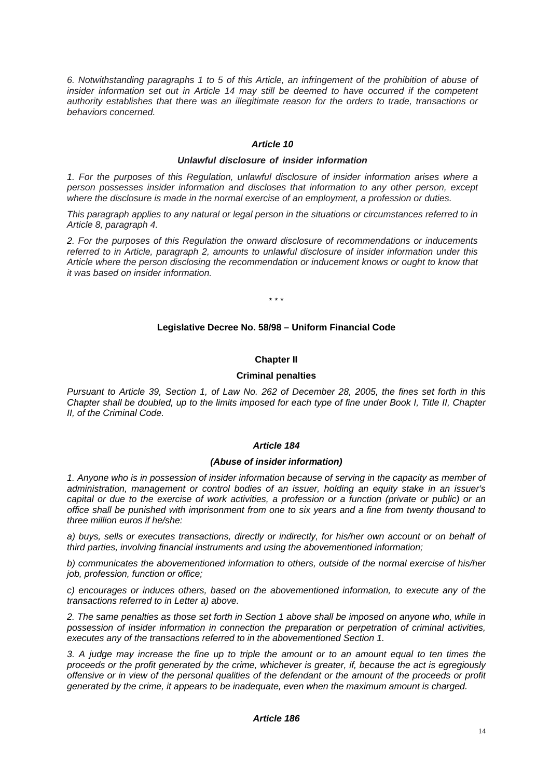*6. Notwithstanding paragraphs 1 to 5 of this Article, an infringement of the prohibition of abuse of insider information set out in Article 14 may still be deemed to have occurred if the competent authority establishes that there was an illegitimate reason for the orders to trade, transactions or behaviors concerned.*

## *Article 10*

### *Unlawful disclosure of insider information*

*1. For the purposes of this Regulation, unlawful disclosure of insider information arises where a person possesses insider information and discloses that information to any other person, except where the disclosure is made in the normal exercise of an employment, a profession or duties.*

*This paragraph applies to any natural or legal person in the situations or circumstances referred to in Article 8, paragraph 4.*

*2. For the purposes of this Regulation the onward disclosure of recommendations or inducements referred to in Article, paragraph 2, amounts to unlawful disclosure of insider information under this Article where the person disclosing the recommendation or inducement knows or ought to know that it was based on insider information.*

\* \* \*

#### **Legislative Decree No. 58/98 – Uniform Financial Code**

### **Chapter II**

#### **Criminal penalties**

*Pursuant to Article 39, Section 1, of Law No. 262 of December 28, 2005, the fines set forth in this Chapter shall be doubled, up to the limits imposed for each type of fine under Book I, Title II, Chapter II, of the Criminal Code.*

#### *Article 184*

#### *(Abuse of insider information)*

*1. Anyone who is in possession of insider information because of serving in the capacity as member of administration, management or control bodies of an issuer, holding an equity stake in an issuer's capital or due to the exercise of work activities, a profession or a function (private or public) or an office shall be punished with imprisonment from one to six years and a fine from twenty thousand to three million euros if he/she:* 

*a) buys, sells or executes transactions, directly or indirectly, for his/her own account or on behalf of third parties, involving financial instruments and using the abovementioned information;* 

*b) communicates the abovementioned information to others, outside of the normal exercise of his/her job, profession, function or office;* 

*c) encourages or induces others, based on the abovementioned information, to execute any of the transactions referred to in Letter a) above.* 

*2. The same penalties as those set forth in Section 1 above shall be imposed on anyone who, while in possession of insider information in connection the preparation or perpetration of criminal activities, executes any of the transactions referred to in the abovementioned Section 1.* 

*3. A judge may increase the fine up to triple the amount or to an amount equal to ten times the proceeds or the profit generated by the crime, whichever is greater, if, because the act is egregiously offensive or in view of the personal qualities of the defendant or the amount of the proceeds or profit generated by the crime, it appears to be inadequate, even when the maximum amount is charged.*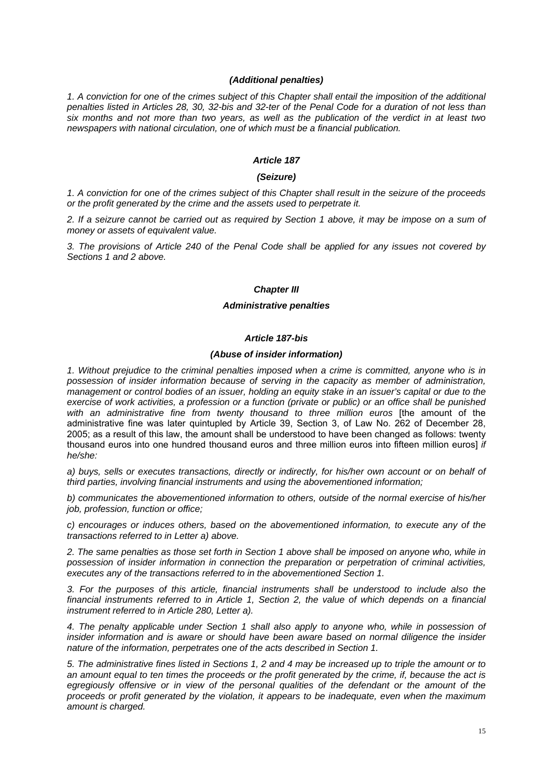### *(Additional penalties)*

*1. A conviction for one of the crimes subject of this Chapter shall entail the imposition of the additional penalties listed in Articles 28, 30, 32-bis and 32-ter of the Penal Code for a duration of not less than six months and not more than two years, as well as the publication of the verdict in at least two newspapers with national circulation, one of which must be a financial publication.* 

### *Article 187*

## *(Seizure)*

*1. A conviction for one of the crimes subject of this Chapter shall result in the seizure of the proceeds or the profit generated by the crime and the assets used to perpetrate it.* 

*2. If a seizure cannot be carried out as required by Section 1 above, it may be impose on a sum of money or assets of equivalent value.* 

*3. The provisions of Article 240 of the Penal Code shall be applied for any issues not covered by Sections 1 and 2 above.* 

#### *Chapter III*

#### *Administrative penalties*

## *Article 187-bis*

#### *(Abuse of insider information)*

*1. Without prejudice to the criminal penalties imposed when a crime is committed, anyone who is in possession of insider information because of serving in the capacity as member of administration, management or control bodies of an issuer, holding an equity stake in an issuer's capital or due to the exercise of work activities, a profession or a function (private or public) or an office shall be punished with an administrative fine from twenty thousand to three million euros* [the amount of the administrative fine was later quintupled by Article 39, Section 3, of Law No. 262 of December 28, 2005; as a result of this law, the amount shall be understood to have been changed as follows: twenty thousand euros into one hundred thousand euros and three million euros into fifteen million euros] *if he/she:* 

*a) buys, sells or executes transactions, directly or indirectly, for his/her own account or on behalf of third parties, involving financial instruments and using the abovementioned information;* 

*b) communicates the abovementioned information to others, outside of the normal exercise of his/her job, profession, function or office;* 

*c) encourages or induces others, based on the abovementioned information, to execute any of the transactions referred to in Letter a) above.* 

*2. The same penalties as those set forth in Section 1 above shall be imposed on anyone who, while in possession of insider information in connection the preparation or perpetration of criminal activities, executes any of the transactions referred to in the abovementioned Section 1.* 

*3. For the purposes of this article, financial instruments shall be understood to include also the financial instruments referred to in Article 1, Section 2, the value of which depends on a financial instrument referred to in Article 280, Letter a).* 

*4. The penalty applicable under Section 1 shall also apply to anyone who, while in possession of insider information and is aware or should have been aware based on normal diligence the insider nature of the information, perpetrates one of the acts described in Section 1.* 

*5. The administrative fines listed in Sections 1, 2 and 4 may be increased up to triple the amount or to an amount equal to ten times the proceeds or the profit generated by the crime, if, because the act is*  egregiously offensive or in view of the personal qualities of the defendant or the amount of the *proceeds or profit generated by the violation, it appears to be inadequate, even when the maximum amount is charged.*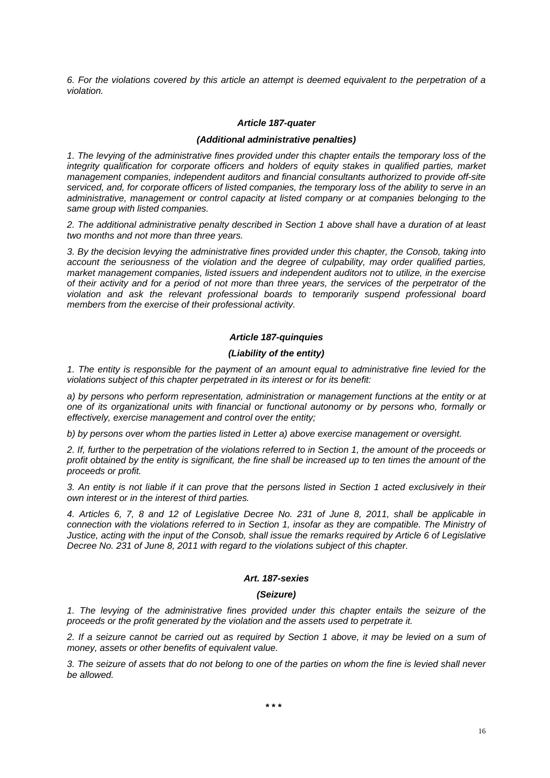*6. For the violations covered by this article an attempt is deemed equivalent to the perpetration of a violation.* 

#### *Article 187-quater*

#### *(Additional administrative penalties)*

*1. The levying of the administrative fines provided under this chapter entails the temporary loss of the integrity qualification for corporate officers and holders of equity stakes in qualified parties, market management companies, independent auditors and financial consultants authorized to provide off-site serviced, and, for corporate officers of listed companies, the temporary loss of the ability to serve in an administrative, management or control capacity at listed company or at companies belonging to the same group with listed companies.* 

*2. The additional administrative penalty described in Section 1 above shall have a duration of at least two months and not more than three years.* 

*3. By the decision levying the administrative fines provided under this chapter, the Consob, taking into account the seriousness of the violation and the degree of culpability, may order qualified parties, market management companies, listed issuers and independent auditors not to utilize, in the exercise of their activity and for a period of not more than three years, the services of the perpetrator of the violation and ask the relevant professional boards to temporarily suspend professional board members from the exercise of their professional activity.* 

#### *Article 187-quinquies*

#### *(Liability of the entity)*

*1. The entity is responsible for the payment of an amount equal to administrative fine levied for the violations subject of this chapter perpetrated in its interest or for its benefit:* 

*a) by persons who perform representation, administration or management functions at the entity or at one of its organizational units with financial or functional autonomy or by persons who, formally or effectively, exercise management and control over the entity;* 

*b) by persons over whom the parties listed in Letter a) above exercise management or oversight.* 

*2. If, further to the perpetration of the violations referred to in Section 1, the amount of the proceeds or profit obtained by the entity is significant, the fine shall be increased up to ten times the amount of the proceeds or profit.* 

*3. An entity is not liable if it can prove that the persons listed in Section 1 acted exclusively in their own interest or in the interest of third parties.* 

*4. Articles 6, 7, 8 and 12 of Legislative Decree No. 231 of June 8, 2011, shall be applicable in connection with the violations referred to in Section 1, insofar as they are compatible. The Ministry of Justice, acting with the input of the Consob, shall issue the remarks required by Article 6 of Legislative Decree No. 231 of June 8, 2011 with regard to the violations subject of this chapter.* 

### *Art. 187-sexies*

#### *(Seizure)*

*1. The levying of the administrative fines provided under this chapter entails the seizure of the proceeds or the profit generated by the violation and the assets used to perpetrate it.* 

*2. If a seizure cannot be carried out as required by Section 1 above, it may be levied on a sum of money, assets or other benefits of equivalent value.* 

*3. The seizure of assets that do not belong to one of the parties on whom the fine is levied shall never be allowed.*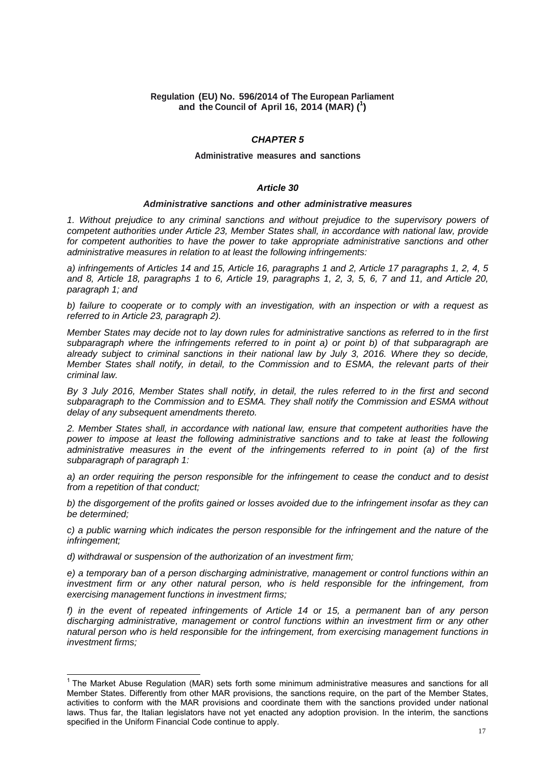## **Regulation (EU) No. 596/2014 of The European Parliament and the Council of April 16, 2014 (MAR) (<sup>1</sup> )**

## *CHAPTER 5*

#### **Administrative measures and sanctions**

## *Article 30*

#### *Administrative sanctions and other administrative measures*

*1. Without prejudice to any criminal sanctions and without prejudice to the supervisory powers of competent authorities under Article 23, Member States shall, in accordance with national law, provide for competent authorities to have the power to take appropriate administrative sanctions and other administrative measures in relation to at least the following infringements:* 

*a) infringements of Articles 14 and 15, Article 16, paragraphs 1 and 2, Article 17 paragraphs 1, 2, 4, 5 and 8, Article 18, paragraphs 1 to 6, Article 19, paragraphs 1, 2, 3, 5, 6, 7 and 11, and Article 20, paragraph 1; and* 

*b) failure to cooperate or to comply with an investigation, with an inspection or with a request as referred to in Article 23, paragraph 2).* 

*Member States may decide not to lay down rules for administrative sanctions as referred to in the first subparagraph where the infringements referred to in point a) or point b) of that subparagraph are already subject to criminal sanctions in their national law by July 3, 2016. Where they so decide, Member States shall notify, in detail, to the Commission and to ESMA, the relevant parts of their criminal law.* 

*By 3 July 2016, Member States shall notify, in detail, the rules referred to in the first and second subparagraph to the Commission and to ESMA. They shall notify the Commission and ESMA without delay of any subsequent amendments thereto.* 

*2. Member States shall, in accordance with national law, ensure that competent authorities have the power to impose at least the following administrative sanctions and to take at least the following administrative measures in the event of the infringements referred to in point (a) of the first subparagraph of paragraph 1:* 

*a) an order requiring the person responsible for the infringement to cease the conduct and to desist from a repetition of that conduct;* 

*b) the disgorgement of the profits gained or losses avoided due to the infringement insofar as they can be determined;* 

*c) a public warning which indicates the person responsible for the infringement and the nature of the infringement;* 

*d) withdrawal or suspension of the authorization of an investment firm;* 

*e) a temporary ban of a person discharging administrative, management or control functions within an investment firm or any other natural person, who is held responsible for the infringement, from exercising management functions in investment firms;* 

*f) in the event of repeated infringements of Article 14 or 15, a permanent ban of any person discharging administrative, management or control functions within an investment firm or any other natural person who is held responsible for the infringement, from exercising management functions in investment firms;* 

THE MARKET ABUSE REGULATION CONTROLLET THE MARKET THE MARK OF THE MARK OF ALL THE MARKET THE MARKET THE MARKET TH<br>The Market Abuse Regulation (MAR) sets forth some minimum administrative measures and sanctions for all Member States. Differently from other MAR provisions, the sanctions require, on the part of the Member States, activities to conform with the MAR provisions and coordinate them with the sanctions provided under national laws. Thus far, the Italian legislators have not yet enacted any adoption provision. In the interim, the sanctions specified in the Uniform Financial Code continue to apply.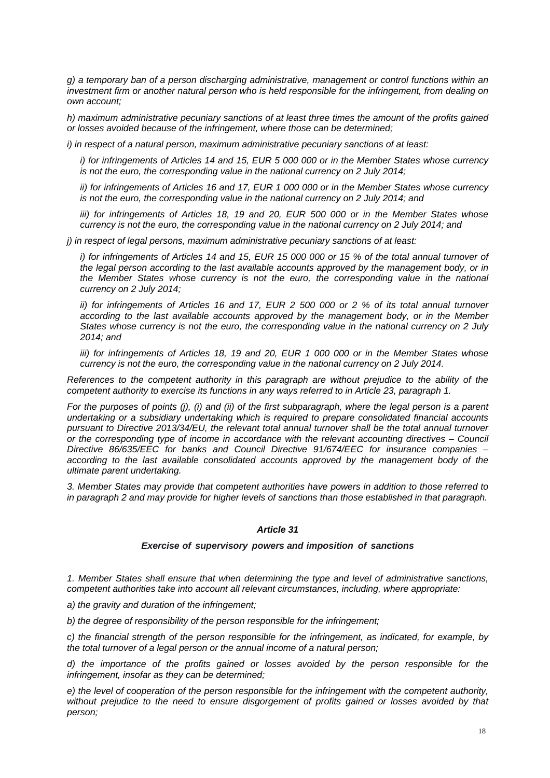*g) a temporary ban of a person discharging administrative, management or control functions within an investment firm or another natural person who is held responsible for the infringement, from dealing on own account;* 

*h) maximum administrative pecuniary sanctions of at least three times the amount of the profits gained or losses avoided because of the infringement, where those can be determined;* 

*i) in respect of a natural person, maximum administrative pecuniary sanctions of at least:* 

*i) for infringements of Articles 14 and 15, EUR 5 000 000 or in the Member States whose currency is not the euro, the corresponding value in the national currency on 2 July 2014;* 

*ii) for infringements of Articles 16 and 17, EUR 1 000 000 or in the Member States whose currency is not the euro, the corresponding value in the national currency on 2 July 2014; and* 

*iii)* for infringements of Articles 18, 19 and 20, EUR 500 000 or in the Member States whose *currency is not the euro, the corresponding value in the national currency on 2 July 2014; and* 

*j) in respect of legal persons, maximum administrative pecuniary sanctions of at least:* 

*i)* for infringements of Articles 14 and 15, EUR 15 000 000 or 15 % of the total annual turnover of *the legal person according to the last available accounts approved by the management body, or in the Member States whose currency is not the euro, the corresponding value in the national currency on 2 July 2014;* 

*ii)* for infringements of Articles 16 and 17, EUR 2 500 000 or 2 % of its total annual turnover *according to the last available accounts approved by the management body, or in the Member States whose currency is not the euro, the corresponding value in the national currency on 2 July 2014; and* 

*iii) for infringements of Articles 18, 19 and 20, EUR 1 000 000 or in the Member States whose currency is not the euro, the corresponding value in the national currency on 2 July 2014.* 

*References to the competent authority in this paragraph are without prejudice to the ability of the competent authority to exercise its functions in any ways referred to in Article 23, paragraph 1.* 

*For the purposes of points (j), (i) and (ii) of the first subparagraph, where the legal person is a parent undertaking or a subsidiary undertaking which is required to prepare consolidated financial accounts pursuant to Directive 2013/34/EU, the relevant total annual turnover shall be the total annual turnover or the corresponding type of income in accordance with the relevant accounting directives – Council Directive 86/635/EEC for banks and Council Directive 91/674/EEC for insurance companies – according to the last available consolidated accounts approved by the management body of the ultimate parent undertaking.* 

*3. Member States may provide that competent authorities have powers in addition to those referred to in paragraph 2 and may provide for higher levels of sanctions than those established in that paragraph.* 

## *Article 31*

## *Exercise of supervisory powers and imposition of sanctions*

*1. Member States shall ensure that when determining the type and level of administrative sanctions, competent authorities take into account all relevant circumstances, including, where appropriate:* 

*a) the gravity and duration of the infringement;* 

*b) the degree of responsibility of the person responsible for the infringement;* 

*c) the financial strength of the person responsible for the infringement, as indicated, for example, by the total turnover of a legal person or the annual income of a natural person;* 

*d) the importance of the profits gained or losses avoided by the person responsible for the infringement, insofar as they can be determined;* 

*e) the level of cooperation of the person responsible for the infringement with the competent authority,*  without prejudice to the need to ensure disgorgement of profits gained or losses avoided by that *person;*